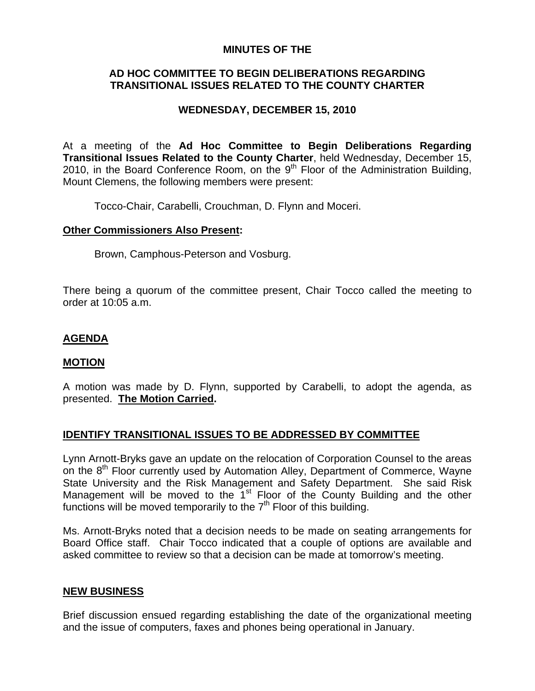### **MINUTES OF THE**

## **AD HOC COMMITTEE TO BEGIN DELIBERATIONS REGARDING TRANSITIONAL ISSUES RELATED TO THE COUNTY CHARTER**

# **WEDNESDAY, DECEMBER 15, 2010**

At a meeting of the **Ad Hoc Committee to Begin Deliberations Regarding Transitional Issues Related to the County Charter**, held Wednesday, December 15, 2010, in the Board Conference Room, on the  $9<sup>th</sup>$  Floor of the Administration Building, Mount Clemens, the following members were present:

Tocco-Chair, Carabelli, Crouchman, D. Flynn and Moceri.

### **Other Commissioners Also Present:**

Brown, Camphous-Peterson and Vosburg.

There being a quorum of the committee present, Chair Tocco called the meeting to order at 10:05 a.m.

## **AGENDA**

#### **MOTION**

A motion was made by D. Flynn, supported by Carabelli, to adopt the agenda, as presented. **The Motion Carried.** 

## **IDENTIFY TRANSITIONAL ISSUES TO BE ADDRESSED BY COMMITTEE**

Lynn Arnott-Bryks gave an update on the relocation of Corporation Counsel to the areas on the 8<sup>th</sup> Floor currently used by Automation Alley, Department of Commerce, Wayne State University and the Risk Management and Safety Department. She said Risk Management will be moved to the 1<sup>st</sup> Floor of the County Building and the other functions will be moved temporarily to the  $7<sup>th</sup>$  Floor of this building.

Ms. Arnott-Bryks noted that a decision needs to be made on seating arrangements for Board Office staff. Chair Tocco indicated that a couple of options are available and asked committee to review so that a decision can be made at tomorrow's meeting.

#### **NEW BUSINESS**

Brief discussion ensued regarding establishing the date of the organizational meeting and the issue of computers, faxes and phones being operational in January.